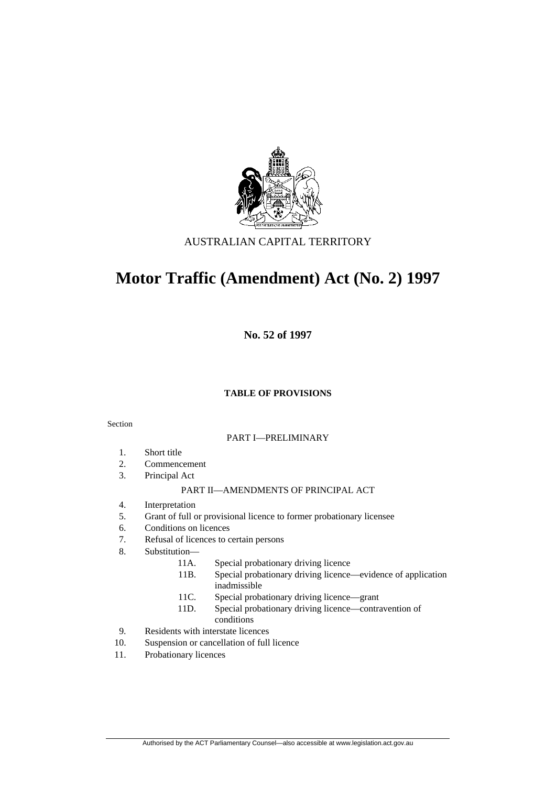

# AUSTRALIAN CAPITAL TERRITORY

# **Motor Traffic (Amendment) Act (No. 2) 1997**

**No. 52 of 1997** 

# **TABLE OF PROVISIONS**

### Section

#### PART I—PRELIMINARY

- 1. Short title
- 2. Commencement
- 3. Principal Act

#### PART II—AMENDMENTS OF PRINCIPAL ACT

- 4. Interpretation
- 5. Grant of full or provisional licence to former probationary licensee
- 6. Conditions on licences
- 7. Refusal of licences to certain persons
- 8. Substitution—
	- 11A. Special probationary driving licence
	- 11B. Special probationary driving licence—evidence of application inadmissible
	- 11C. Special probationary driving licence—grant
	- 11D. Special probationary driving licence—contravention of conditions
- 9. Residents with interstate licences
- 10. Suspension or cancellation of full licence
- 11. Probationary licences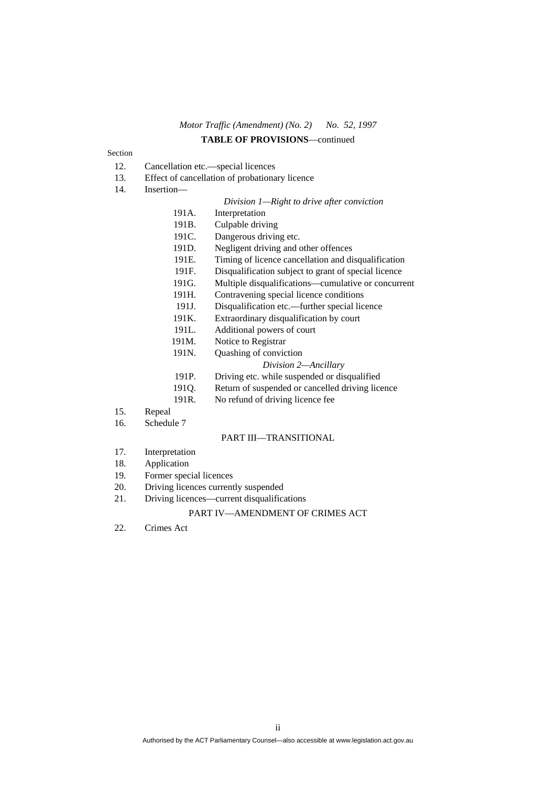# *Motor Traffic (Amendment) (No. 2) No. 52, 1997* **TABLE OF PROVISIONS**—continued

#### Section

- 12. Cancellation etc.—special licences
- 13. Effect of cancellation of probationary licence
- 14. Insertion—

#### *Division 1—Right to drive after conviction*

- 191A. Interpretation
- 191B. Culpable driving
- 191C. Dangerous driving etc.
- 191D. Negligent driving and other offences
- 191E. Timing of licence cancellation and disqualification
- 191F. Disqualification subject to grant of special licence
- 191G. Multiple disqualifications—cumulative or concurrent
- 191H. Contravening special licence conditions
- 191J. Disqualification etc.—further special licence
- 191K. Extraordinary disqualification by court
- 191L. Additional powers of court
- 191M. Notice to Registrar
- 191N. Quashing of conviction

#### *Division 2—Ancillary*

- 191P. Driving etc. while suspended or disqualified
- 191Q. Return of suspended or cancelled driving licence
- 191R. No refund of driving licence fee
- 15. Repeal
- 16. Schedule 7

#### PART III—TRANSITIONAL

- 17. Interpretation
- 18. Application
- 19. Former special licences
- 20. Driving licences currently suspended
- 21. Driving licences—current disqualifications

#### PART IV—AMENDMENT OF CRIMES ACT

22. Crimes Act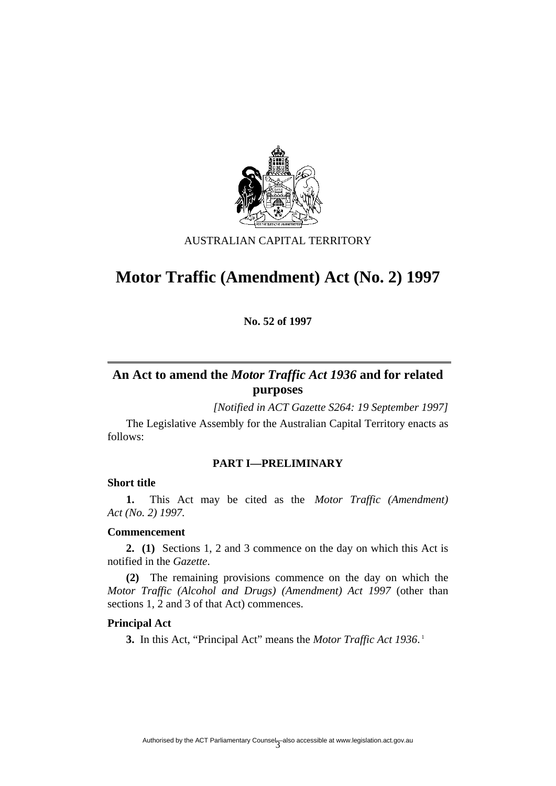

# AUSTRALIAN CAPITAL TERRITORY

# **Motor Traffic (Amendment) Act (No. 2) 1997**

**No. 52 of 1997** 

# **An Act to amend the** *Motor Traffic Act 1936* **and for related purposes**

*[Notified in ACT Gazette S264: 19 September 1997]*

 The Legislative Assembly for the Australian Capital Territory enacts as follows:

# **PART I—PRELIMINARY**

#### **Short title**

**1.** This Act may be cited as the *Motor Traffic (Amendment) Act (No. 2) 1997.*

# **Commencement**

**2. (1)** Sections 1, 2 and 3 commence on the day on which this Act is notified in the *Gazette*.

**(2)** The remaining provisions commence on the day on which the *Motor Traffic (Alcohol and Drugs) (Amendment) Act 1997* (other than sections 1, 2 and 3 of that Act) commences.

# **Principal Act**

**3.** In this Act, "Principal Act" means the *Motor Traffic Act 1936*.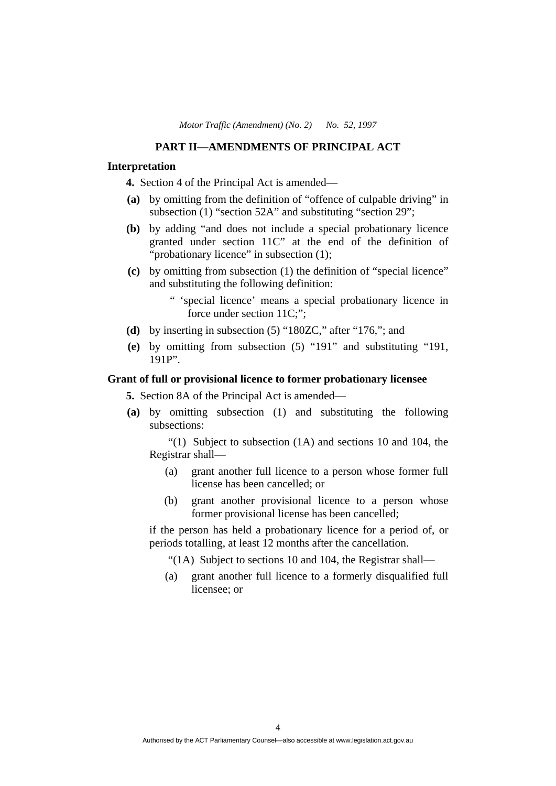# **PART II—AMENDMENTS OF PRINCIPAL ACT**

# **Interpretation**

**4.** Section 4 of the Principal Act is amended—

- **(a)** by omitting from the definition of "offence of culpable driving" in subsection (1) "section 52A" and substituting "section 29";
- **(b)** by adding "and does not include a special probationary licence granted under section 11C" at the end of the definition of "probationary licence" in subsection (1);
- **(c)** by omitting from subsection (1) the definition of "special licence" and substituting the following definition:
	- " 'special licence' means a special probationary licence in force under section 11C;";
- **(d)** by inserting in subsection (5) "180ZC," after "176,"; and
- **(e)** by omitting from subsection (5) "191" and substituting "191, 191P".

# **Grant of full or provisional licence to former probationary licensee**

**5.** Section 8A of the Principal Act is amended—

 **(a)** by omitting subsection (1) and substituting the following subsections:

"(1) Subject to subsection  $(1A)$  and sections 10 and 104, the Registrar shall—

- (a) grant another full licence to a person whose former full license has been cancelled; or
- (b) grant another provisional licence to a person whose former provisional license has been cancelled;

if the person has held a probationary licence for a period of, or periods totalling, at least 12 months after the cancellation.

"(1A) Subject to sections 10 and 104, the Registrar shall—

 (a) grant another full licence to a formerly disqualified full licensee; or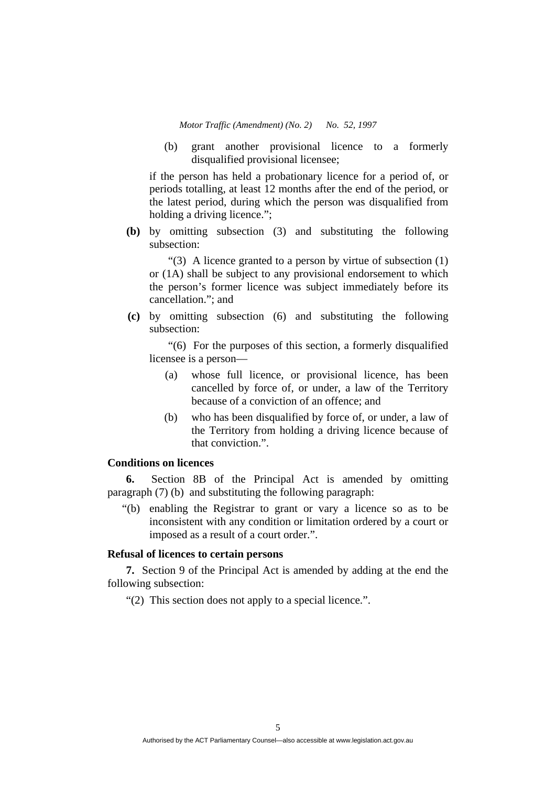(b) grant another provisional licence to a formerly disqualified provisional licensee;

if the person has held a probationary licence for a period of, or periods totalling, at least 12 months after the end of the period, or the latest period, during which the person was disqualified from holding a driving licence.";

 **(b)** by omitting subsection (3) and substituting the following subsection:

"(3) A licence granted to a person by virtue of subsection (1) or (1A) shall be subject to any provisional endorsement to which the person's former licence was subject immediately before its cancellation."; and

 **(c)** by omitting subsection (6) and substituting the following subsection:

"(6) For the purposes of this section, a formerly disqualified licensee is a person—

- (a) whose full licence, or provisional licence, has been cancelled by force of, or under, a law of the Territory because of a conviction of an offence; and
- (b) who has been disqualified by force of, or under, a law of the Territory from holding a driving licence because of that conviction.".

# **Conditions on licences**

**6.** Section 8B of the Principal Act is amended by omitting paragraph (7) (b) and substituting the following paragraph:

"(b) enabling the Registrar to grant or vary a licence so as to be inconsistent with any condition or limitation ordered by a court or imposed as a result of a court order.".

# **Refusal of licences to certain persons**

**7.** Section 9 of the Principal Act is amended by adding at the end the following subsection:

"(2) This section does not apply to a special licence.".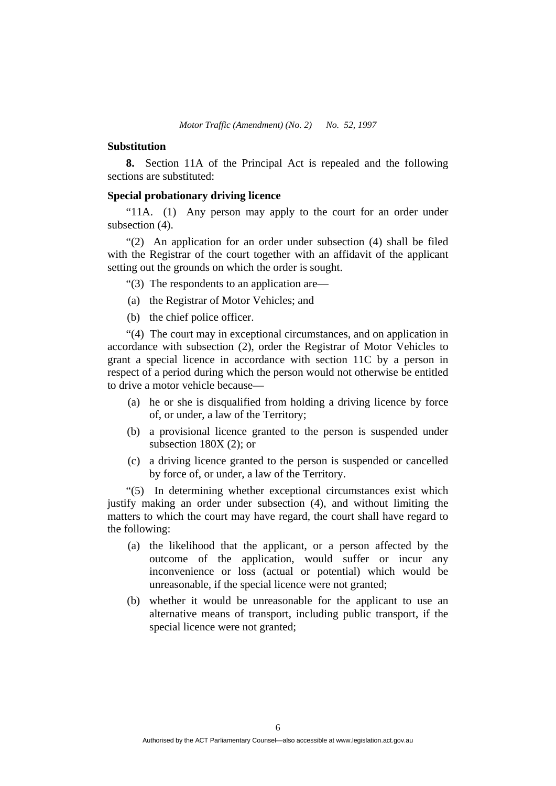#### **Substitution**

**8.** Section 11A of the Principal Act is repealed and the following sections are substituted:

#### **Special probationary driving licence**

"11A. (1) Any person may apply to the court for an order under subsection (4).

"(2) An application for an order under subsection (4) shall be filed with the Registrar of the court together with an affidavit of the applicant setting out the grounds on which the order is sought.

"(3) The respondents to an application are—

- (a) the Registrar of Motor Vehicles; and
- (b) the chief police officer.

"(4) The court may in exceptional circumstances, and on application in accordance with subsection (2), order the Registrar of Motor Vehicles to grant a special licence in accordance with section 11C by a person in respect of a period during which the person would not otherwise be entitled to drive a motor vehicle because—

- (a) he or she is disqualified from holding a driving licence by force of, or under, a law of the Territory;
- (b) a provisional licence granted to the person is suspended under subsection 180X (2); or
- (c) a driving licence granted to the person is suspended or cancelled by force of, or under, a law of the Territory.

"(5) In determining whether exceptional circumstances exist which justify making an order under subsection (4), and without limiting the matters to which the court may have regard, the court shall have regard to the following:

- (a) the likelihood that the applicant, or a person affected by the outcome of the application, would suffer or incur any inconvenience or loss (actual or potential) which would be unreasonable, if the special licence were not granted;
- (b) whether it would be unreasonable for the applicant to use an alternative means of transport, including public transport, if the special licence were not granted;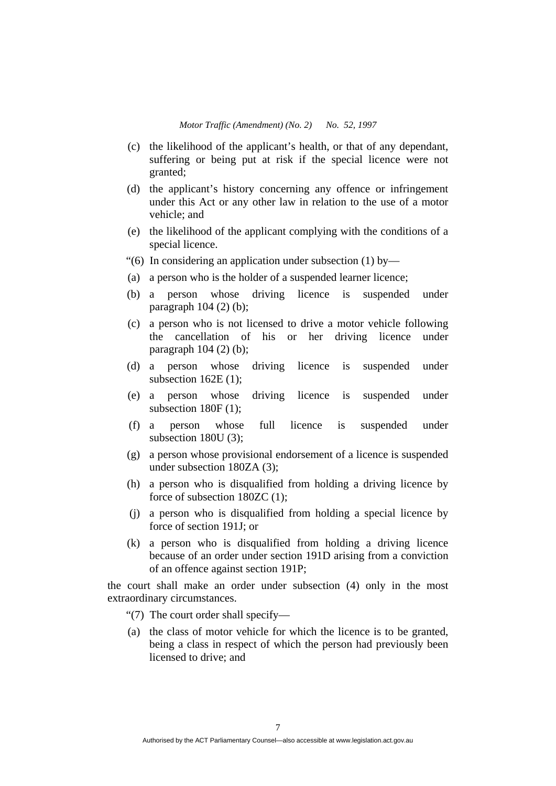- (c) the likelihood of the applicant's health, or that of any dependant, suffering or being put at risk if the special licence were not granted;
- (d) the applicant's history concerning any offence or infringement under this Act or any other law in relation to the use of a motor vehicle; and
- (e) the likelihood of the applicant complying with the conditions of a special licence.
- "(6) In considering an application under subsection (1) by—
- (a) a person who is the holder of a suspended learner licence;
- (b) a person whose driving licence is suspended under paragraph 104 (2) (b);
- (c) a person who is not licensed to drive a motor vehicle following the cancellation of his or her driving licence under paragraph  $104 (2) (b)$ ;
- (d) a person whose driving licence is suspended under subsection 162E (1);
- (e) a person whose driving licence is suspended under subsection 180F (1);
- (f) a person whose full licence is suspended under subsection 180U (3);
- (g) a person whose provisional endorsement of a licence is suspended under subsection 180ZA (3);
- (h) a person who is disqualified from holding a driving licence by force of subsection 180ZC (1);
- (j) a person who is disqualified from holding a special licence by force of section 191J; or
- (k) a person who is disqualified from holding a driving licence because of an order under section 191D arising from a conviction of an offence against section 191P;

the court shall make an order under subsection (4) only in the most extraordinary circumstances.

- "(7) The court order shall specify—
- (a) the class of motor vehicle for which the licence is to be granted, being a class in respect of which the person had previously been licensed to drive; and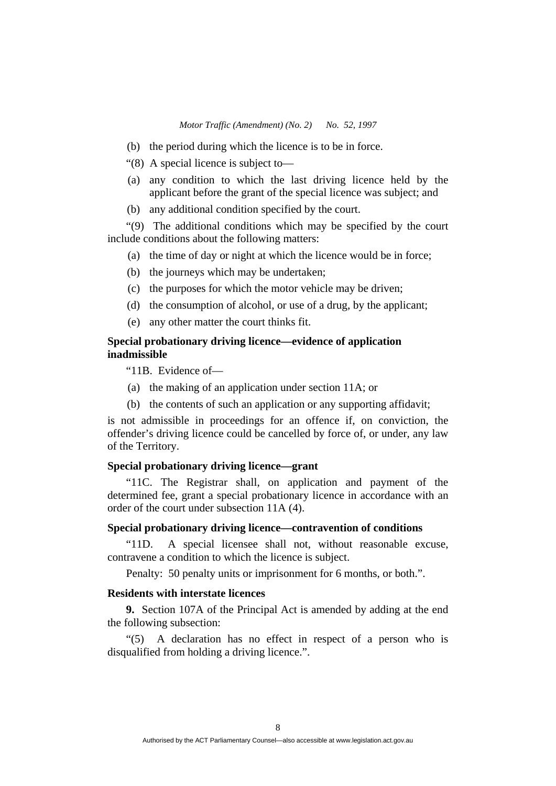- (b) the period during which the licence is to be in force.
- "(8) A special licence is subject to—
- (a) any condition to which the last driving licence held by the applicant before the grant of the special licence was subject; and
- (b) any additional condition specified by the court.

"(9) The additional conditions which may be specified by the court include conditions about the following matters:

(a) the time of day or night at which the licence would be in force;

- (b) the journeys which may be undertaken;
- (c) the purposes for which the motor vehicle may be driven;
- (d) the consumption of alcohol, or use of a drug, by the applicant;
- (e) any other matter the court thinks fit.

# **Special probationary driving licence—evidence of application inadmissible**

"11B. Evidence of—

- (a) the making of an application under section 11A; or
- (b) the contents of such an application or any supporting affidavit;

is not admissible in proceedings for an offence if, on conviction, the offender's driving licence could be cancelled by force of, or under, any law of the Territory.

# **Special probationary driving licence—grant**

"11C. The Registrar shall, on application and payment of the determined fee, grant a special probationary licence in accordance with an order of the court under subsection 11A (4).

# **Special probationary driving licence—contravention of conditions**

"11D. A special licensee shall not, without reasonable excuse, contravene a condition to which the licence is subject.

Penalty: 50 penalty units or imprisonment for 6 months, or both.".

# **Residents with interstate licences**

**9.** Section 107A of the Principal Act is amended by adding at the end the following subsection:

"(5) A declaration has no effect in respect of a person who is disqualified from holding a driving licence.".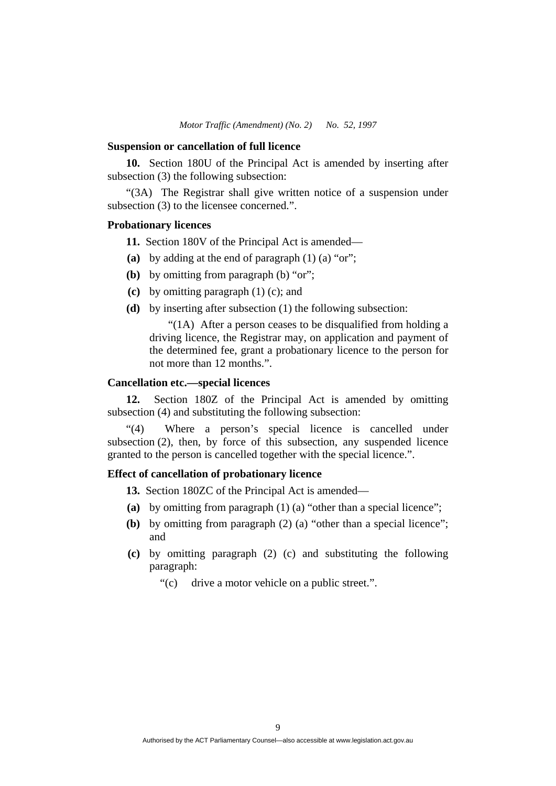#### **Suspension or cancellation of full licence**

**10.** Section 180U of the Principal Act is amended by inserting after subsection (3) the following subsection:

"(3A) The Registrar shall give written notice of a suspension under subsection (3) to the licensee concerned.".

## **Probationary licences**

**11.** Section 180V of the Principal Act is amended—

- **(a)** by adding at the end of paragraph (1) (a) "or";
- **(b)** by omitting from paragraph (b) "or";
- **(c)** by omitting paragraph (1) (c); and
- **(d)** by inserting after subsection (1) the following subsection:

"(1A) After a person ceases to be disqualified from holding a driving licence, the Registrar may, on application and payment of the determined fee, grant a probationary licence to the person for not more than 12 months.".

# **Cancellation etc.—special licences**

**12.** Section 180Z of the Principal Act is amended by omitting subsection (4) and substituting the following subsection:

"(4) Where a person's special licence is cancelled under subsection (2), then, by force of this subsection, any suspended licence granted to the person is cancelled together with the special licence.".

# **Effect of cancellation of probationary licence**

**13.** Section 180ZC of the Principal Act is amended—

- **(a)** by omitting from paragraph (1) (a) "other than a special licence";
- **(b)** by omitting from paragraph (2) (a) "other than a special licence"; and
- **(c)** by omitting paragraph (2) (c) and substituting the following paragraph:

"(c) drive a motor vehicle on a public street.".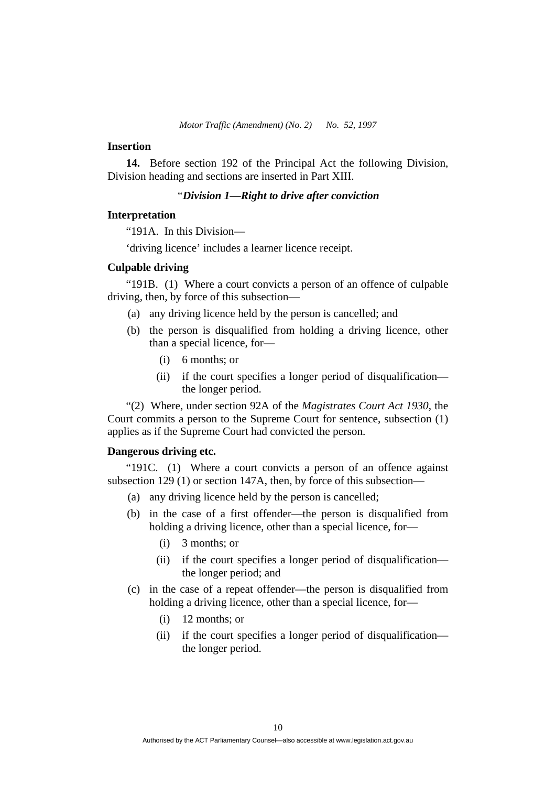## **Insertion**

**14.** Before section 192 of the Principal Act the following Division, Division heading and sections are inserted in Part XIII.

## *"Division 1—Right to drive after conviction*

### **Interpretation**

"191A. In this Division—

'driving licence' includes a learner licence receipt.

## **Culpable driving**

"191B. (1) Where a court convicts a person of an offence of culpable driving, then, by force of this subsection—

- (a) any driving licence held by the person is cancelled; and
- (b) the person is disqualified from holding a driving licence, other than a special licence, for—
	- (i) 6 months; or
	- (ii) if the court specifies a longer period of disqualification the longer period.

"(2) Where, under section 92A of the *Magistrates Court Act 1930*, the Court commits a person to the Supreme Court for sentence, subsection (1) applies as if the Supreme Court had convicted the person.

#### **Dangerous driving etc.**

"191C. (1) Where a court convicts a person of an offence against subsection 129 (1) or section 147A, then, by force of this subsection—

- (a) any driving licence held by the person is cancelled;
- (b) in the case of a first offender—the person is disqualified from holding a driving licence, other than a special licence, for—
	- (i) 3 months; or
	- (ii) if the court specifies a longer period of disqualification the longer period; and
- (c) in the case of a repeat offender—the person is disqualified from holding a driving licence, other than a special licence, for—
	- (i) 12 months; or
	- (ii) if the court specifies a longer period of disqualification the longer period.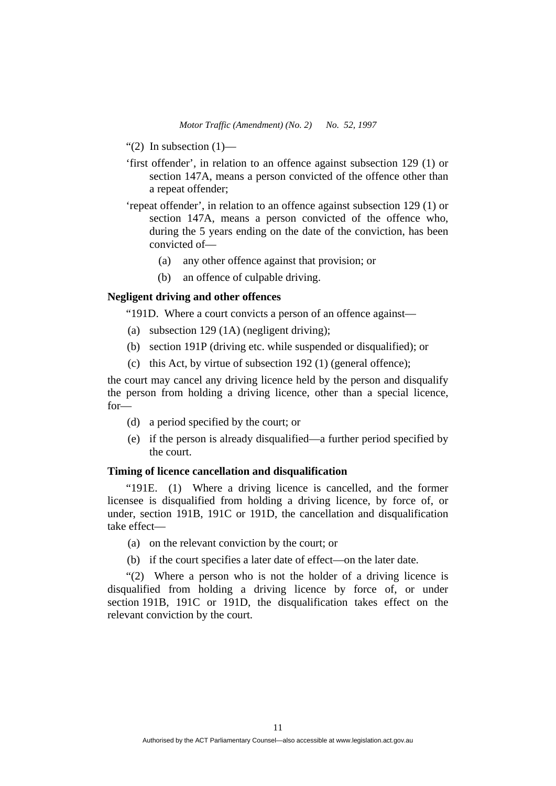- "(2) In subsection  $(1)$ —
- 'first offender', in relation to an offence against subsection 129 (1) or section 147A, means a person convicted of the offence other than a repeat offender;
- 'repeat offender', in relation to an offence against subsection 129 (1) or section 147A, means a person convicted of the offence who, during the 5 years ending on the date of the conviction, has been convicted of—
	- (a) any other offence against that provision; or
	- (b) an offence of culpable driving.

# **Negligent driving and other offences**

"191D. Where a court convicts a person of an offence against—

- (a) subsection 129 (1A) (negligent driving);
- (b) section 191P (driving etc. while suspended or disqualified); or
- (c) this Act, by virtue of subsection 192 (1) (general offence);

the court may cancel any driving licence held by the person and disqualify the person from holding a driving licence, other than a special licence, for—

- (d) a period specified by the court; or
- (e) if the person is already disqualified—a further period specified by the court.

# **Timing of licence cancellation and disqualification**

"191E. (1) Where a driving licence is cancelled, and the former licensee is disqualified from holding a driving licence, by force of, or under, section 191B, 191C or 191D, the cancellation and disqualification take effect—

- (a) on the relevant conviction by the court; or
- (b) if the court specifies a later date of effect—on the later date.

"(2) Where a person who is not the holder of a driving licence is disqualified from holding a driving licence by force of, or under section 191B, 191C or 191D, the disqualification takes effect on the relevant conviction by the court.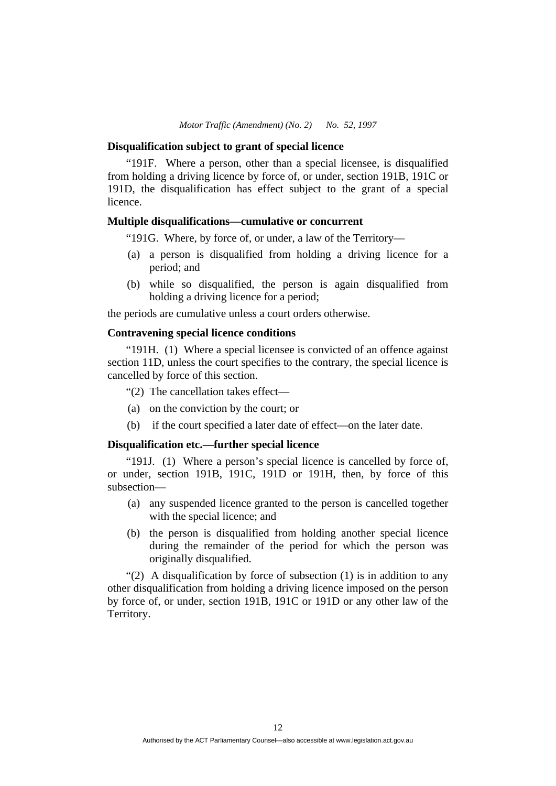#### **Disqualification subject to grant of special licence**

"191F.Where a person, other than a special licensee, is disqualified from holding a driving licence by force of, or under, section 191B, 191C or 191D, the disqualification has effect subject to the grant of a special licence.

# **Multiple disqualifications—cumulative or concurrent**

"191G. Where, by force of, or under, a law of the Territory—

- (a) a person is disqualified from holding a driving licence for a period; and
- (b) while so disqualified, the person is again disqualified from holding a driving licence for a period;

the periods are cumulative unless a court orders otherwise.

# **Contravening special licence conditions**

"191H. (1) Where a special licensee is convicted of an offence against section 11D, unless the court specifies to the contrary, the special licence is cancelled by force of this section.

"(2) The cancellation takes effect—

- (a) on the conviction by the court; or
- (b) if the court specified a later date of effect—on the later date.

## **Disqualification etc.—further special licence**

"191J. (1) Where a person's special licence is cancelled by force of, or under, section 191B, 191C, 191D or 191H, then, by force of this subsection—

- (a) any suspended licence granted to the person is cancelled together with the special licence; and
- (b) the person is disqualified from holding another special licence during the remainder of the period for which the person was originally disqualified.

"(2) A disqualification by force of subsection (1) is in addition to any other disqualification from holding a driving licence imposed on the person by force of, or under, section 191B, 191C or 191D or any other law of the Territory.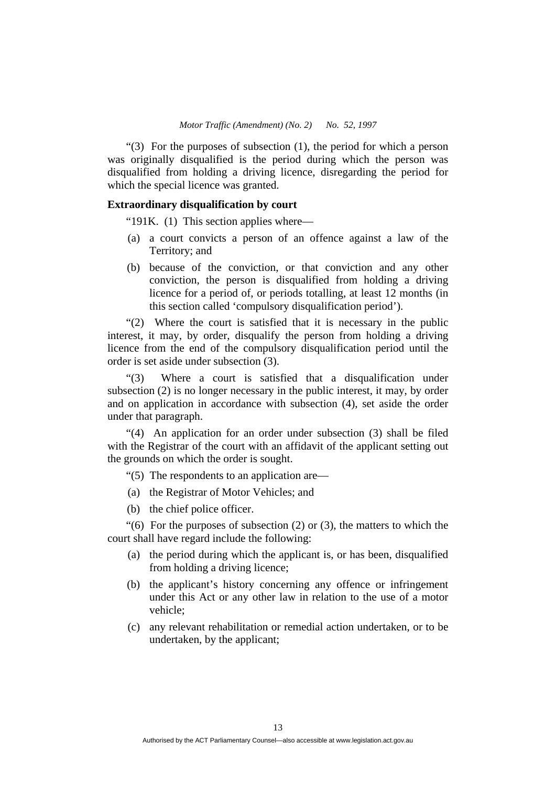"(3) For the purposes of subsection (1), the period for which a person was originally disqualified is the period during which the person was disqualified from holding a driving licence, disregarding the period for which the special licence was granted.

# **Extraordinary disqualification by court**

"191K. (1) This section applies where—

- (a) a court convicts a person of an offence against a law of the Territory; and
- (b) because of the conviction, or that conviction and any other conviction, the person is disqualified from holding a driving licence for a period of, or periods totalling, at least 12 months (in this section called 'compulsory disqualification period').

"(2) Where the court is satisfied that it is necessary in the public interest, it may, by order, disqualify the person from holding a driving licence from the end of the compulsory disqualification period until the order is set aside under subsection (3).

"(3) Where a court is satisfied that a disqualification under subsection (2) is no longer necessary in the public interest, it may, by order and on application in accordance with subsection (4), set aside the order under that paragraph.

"(4) An application for an order under subsection (3) shall be filed with the Registrar of the court with an affidavit of the applicant setting out the grounds on which the order is sought.

"(5) The respondents to an application are—

- (a) the Registrar of Motor Vehicles; and
- (b) the chief police officer.

" $(6)$  For the purposes of subsection  $(2)$  or  $(3)$ , the matters to which the court shall have regard include the following:

- (a) the period during which the applicant is, or has been, disqualified from holding a driving licence;
- (b) the applicant's history concerning any offence or infringement under this Act or any other law in relation to the use of a motor vehicle;
- (c) any relevant rehabilitation or remedial action undertaken, or to be undertaken, by the applicant;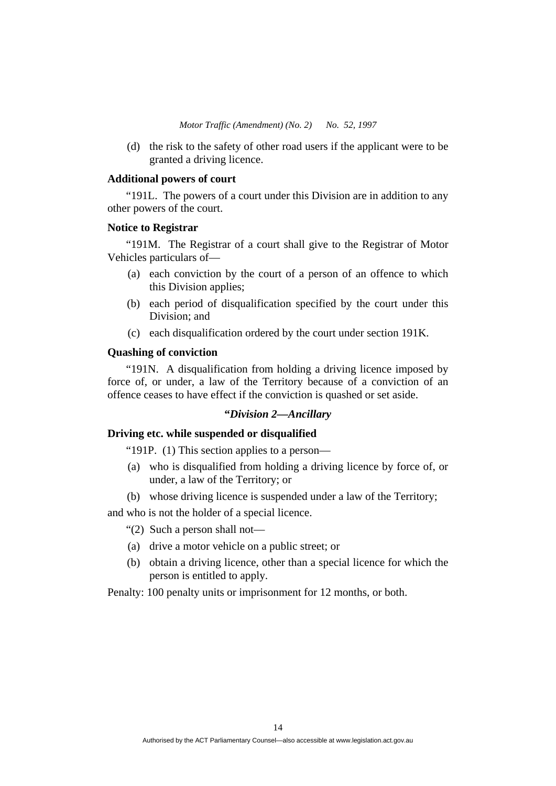(d) the risk to the safety of other road users if the applicant were to be granted a driving licence.

# **Additional powers of court**

"191L. The powers of a court under this Division are in addition to any other powers of the court.

#### **Notice to Registrar**

"191M. The Registrar of a court shall give to the Registrar of Motor Vehicles particulars of—

- (a) each conviction by the court of a person of an offence to which this Division applies;
- (b) each period of disqualification specified by the court under this Division; and
- (c) each disqualification ordered by the court under section 191K.

# **Quashing of conviction**

"191N. A disqualification from holding a driving licence imposed by force of, or under, a law of the Territory because of a conviction of an offence ceases to have effect if the conviction is quashed or set aside.

# **"***Division 2—Ancillary*

# **Driving etc. while suspended or disqualified**

"191P. (1) This section applies to a person—

- (a) who is disqualified from holding a driving licence by force of, or under, a law of the Territory; or
- (b) whose driving licence is suspended under a law of the Territory;

and who is not the holder of a special licence.

"(2) Such a person shall not—

- (a) drive a motor vehicle on a public street; or
- (b) obtain a driving licence, other than a special licence for which the person is entitled to apply.

Penalty: 100 penalty units or imprisonment for 12 months, or both.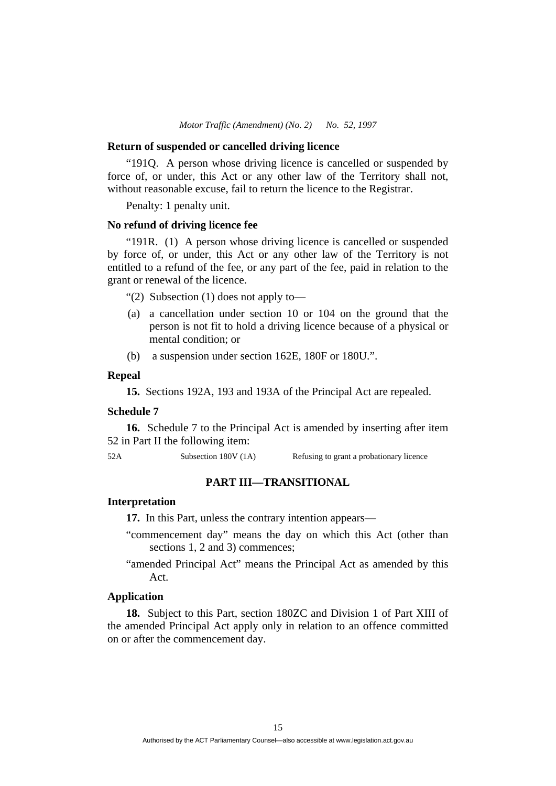#### **Return of suspended or cancelled driving licence**

"191Q. A person whose driving licence is cancelled or suspended by force of, or under, this Act or any other law of the Territory shall not, without reasonable excuse, fail to return the licence to the Registrar.

Penalty: 1 penalty unit.

## **No refund of driving licence fee**

"191R. (1) A person whose driving licence is cancelled or suspended by force of, or under, this Act or any other law of the Territory is not entitled to a refund of the fee, or any part of the fee, paid in relation to the grant or renewal of the licence.

"(2) Subsection (1) does not apply to—

- (a) a cancellation under section 10 or 104 on the ground that the person is not fit to hold a driving licence because of a physical or mental condition; or
- (b) a suspension under section 162E, 180F or 180U.".

# **Repeal**

**15.** Sections 192A, 193 and 193A of the Principal Act are repealed.

#### **Schedule 7**

**16.** Schedule 7 to the Principal Act is amended by inserting after item 52 in Part II the following item:

52A Subsection 180V (1A) Refusing to grant a probationary licence

# **PART III—TRANSITIONAL**

#### **Interpretation**

**17.** In this Part, unless the contrary intention appears—

- "commencement day" means the day on which this Act (other than sections 1, 2 and 3) commences;
- "amended Principal Act" means the Principal Act as amended by this Act.

# **Application**

**18.** Subject to this Part, section 180ZC and Division 1 of Part XIII of the amended Principal Act apply only in relation to an offence committed on or after the commencement day.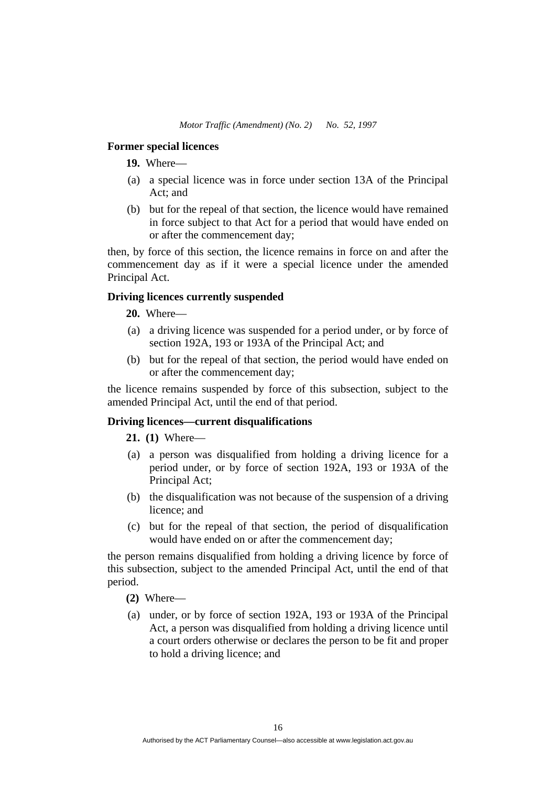## **Former special licences**

**19.** Where—

- (a) a special licence was in force under section 13A of the Principal Act; and
- (b) but for the repeal of that section, the licence would have remained in force subject to that Act for a period that would have ended on or after the commencement day;

then, by force of this section, the licence remains in force on and after the commencement day as if it were a special licence under the amended Principal Act.

# **Driving licences currently suspended**

**20.** Where—

- (a) a driving licence was suspended for a period under, or by force of section 192A, 193 or 193A of the Principal Act; and
- (b) but for the repeal of that section, the period would have ended on or after the commencement day;

the licence remains suspended by force of this subsection, subject to the amended Principal Act, until the end of that period.

#### **Driving licences—current disqualifications**

**21. (1)** Where—

- (a) a person was disqualified from holding a driving licence for a period under, or by force of section 192A, 193 or 193A of the Principal Act;
- (b) the disqualification was not because of the suspension of a driving licence; and
- (c) but for the repeal of that section, the period of disqualification would have ended on or after the commencement day;

the person remains disqualified from holding a driving licence by force of this subsection, subject to the amended Principal Act, until the end of that period.

- **(2)** Where—
- (a) under, or by force of section 192A, 193 or 193A of the Principal Act, a person was disqualified from holding a driving licence until a court orders otherwise or declares the person to be fit and proper to hold a driving licence; and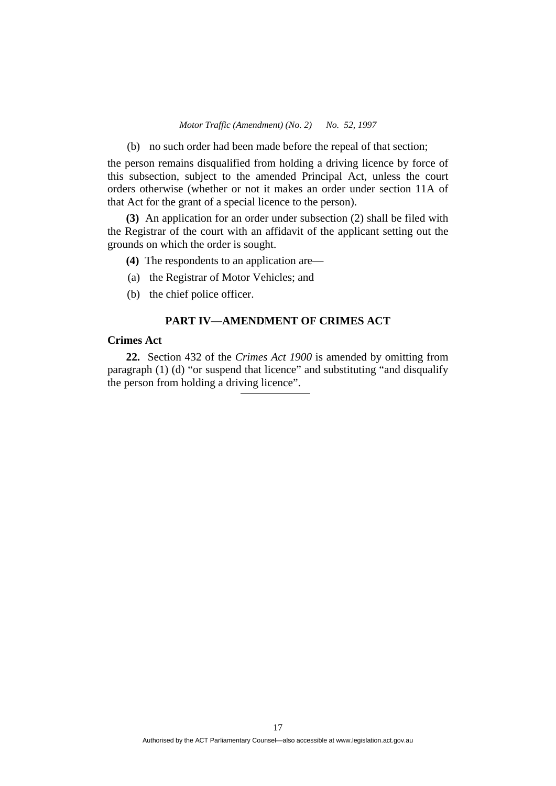(b) no such order had been made before the repeal of that section;

the person remains disqualified from holding a driving licence by force of this subsection, subject to the amended Principal Act, unless the court orders otherwise (whether or not it makes an order under section 11A of that Act for the grant of a special licence to the person).

**(3)** An application for an order under subsection (2) shall be filed with the Registrar of the court with an affidavit of the applicant setting out the grounds on which the order is sought.

- **(4)** The respondents to an application are—
- (a) the Registrar of Motor Vehicles; and
- (b) the chief police officer.

## **PART IV—AMENDMENT OF CRIMES ACT**

# **Crimes Act**

**22.** Section 432 of the *Crimes Act 1900* is amended by omitting from paragraph (1) (d) "or suspend that licence" and substituting "and disqualify the person from holding a driving licence".